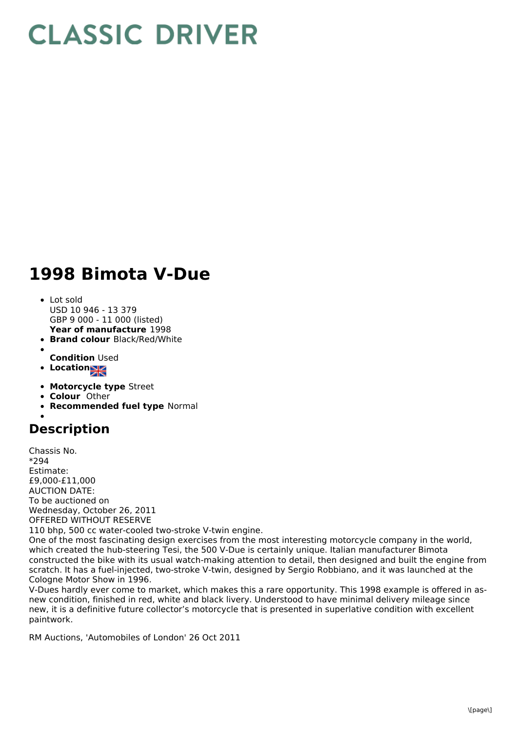## **CLASSIC DRIVER**

## **1998 Bimota V-Due**

- **Year of manufacture** 1998 • Lot sold USD 10 946 - 13 379 GBP 9 000 - 11 000 (listed)
- **Brand colour** Black/Red/White
- **Condition** Used
- **Locations**
- **Motorcycle type** Street
- **Colour** Other
- **Recommended fuel type** Normal

## **Description**

Chassis No. \*294 Estimate: £9,000-£11,000 AUCTION DATE: To be auctioned on Wednesday, October 26, 2011 OFFERED WITHOUT RESERVE 110 bhp, 500 cc water-cooled two-stroke V-twin engine.

One of the most fascinating design exercises from the most interesting motorcycle company in the world, which created the hub-steering Tesi, the 500 V-Due is certainly unique. Italian manufacturer Bimota constructed the bike with its usual watch-making attention to detail, then designed and built the engine from scratch. It has a fuel-injected, two-stroke V-twin, designed by Sergio Robbiano, and it was launched at the Cologne Motor Show in 1996.

V-Dues hardly ever come to market, which makes this a rare opportunity. This 1998 example is offered in asnew condition, finished in red, white and black livery. Understood to have minimal delivery mileage since new, it is a definitive future collector's motorcycle that is presented in superlative condition with excellent paintwork.

RM Auctions, 'Automobiles of London' 26 Oct 2011